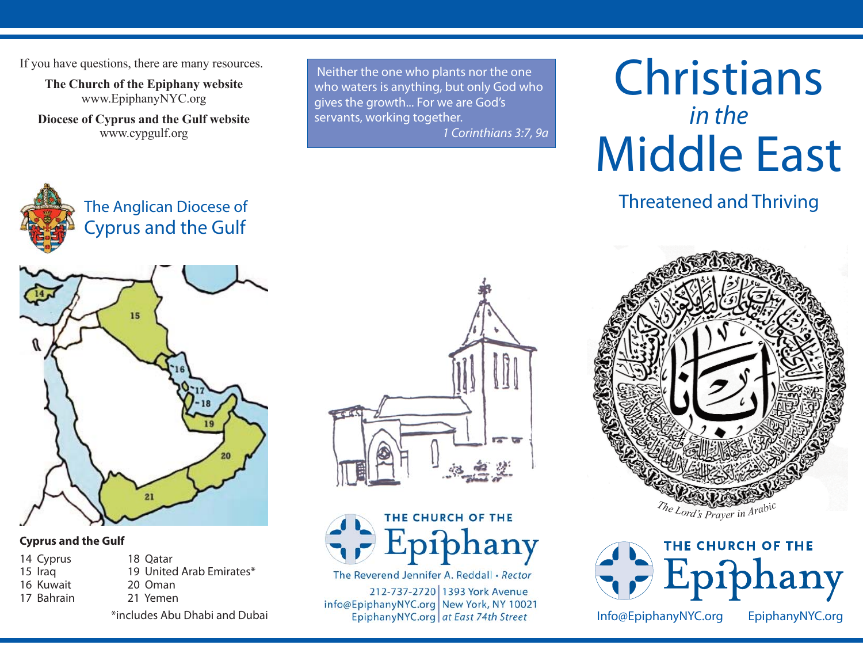If you have questions, there are many resources.

**The Church of the Epiphany website** www.EpiphanyNYC.org

**Diocese of Cyprus and the Gulf website** www.cypgulf.org

> The Anglican Diocese of Cyprus and the Gulf

Neither the one who plants nor the one who waters is anything, but only God who gives the growth... For we are God's servants, working together.

*1 Corinthians 3:7, 9a*



Threatened and Thriving



## **Cyprus and the Gulf**

- 14 Cyprus 18 Qatar 15 Iraq 19 United Arab Emirates\*
- 
- 
- 16 Kuwait 20 Oman 17 Bahrain 21 Yemen

\*includes Abu Dhabi and Dubai





The Reverend Jennifer A. Reddall • Rector

212-737-2720 1393 York Avenue info@EpiphanyNYC.org New York, NY 10021 EpiphanyNYC.org at East 74th Street





Info@EpiphanyNYC.org EpiphanyNYC.org